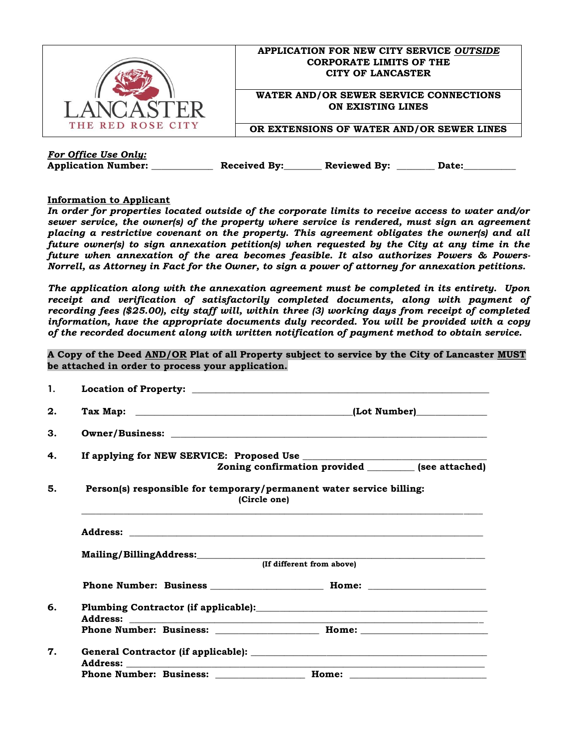

## **APPLICATION FOR NEW CITY SERVICE** *OUTSIDE* **CORPORATE LIMITS OF THE CITY OF LANCASTER**

**WATER AND/OR SEWER SERVICE CONNECTIONS ON EXISTING LINES**

**OR EXTENSIONS OF WATER AND/OR SEWER LINES**

*For Office Use Only:*

**Application Number: \_\_\_\_\_\_\_\_\_\_\_\_\_ Received By:\_\_\_\_\_\_\_\_ Reviewed By: \_\_\_\_\_\_\_\_ Date:\_\_\_\_\_\_\_\_\_\_\_**

## **Information to Applicant**

*In order for properties located outside of the corporate limits to receive access to water and/or sewer service, the owner(s) of the property where service is rendered, must sign an agreement placing a restrictive covenant on the property. This agreement obligates the owner(s) and all future owner(s) to sign annexation petition(s) when requested by the City at any time in the future when annexation of the area becomes feasible. It also authorizes Powers & Powers-Norrell, as Attorney in Fact for the Owner, to sign a power of attorney for annexation petitions.*

*The application along with the annexation agreement must be completed in its entirety. Upon receipt and verification of satisfactorily completed documents, along with payment of recording fees (\$25.00), city staff will, within three (3) working days from receipt of completed information, have the appropriate documents duly recorded. You will be provided with a copy of the recorded document along with written notification of payment method to obtain service.*

**A Copy of the Deed AND/OR Plat of all Property subject to service by the City of Lancaster MUST be attached in order to process your application.**

| 1. |                                                                                                               |                                                       |  |  |  |
|----|---------------------------------------------------------------------------------------------------------------|-------------------------------------------------------|--|--|--|
| 2. |                                                                                                               |                                                       |  |  |  |
| 3. |                                                                                                               |                                                       |  |  |  |
| 4. |                                                                                                               |                                                       |  |  |  |
|    |                                                                                                               | Zoning confirmation provided _________ (see attached) |  |  |  |
| 5. | Person(s) responsible for temporary/permanent water service billing:<br>(Circle one)                          |                                                       |  |  |  |
|    |                                                                                                               |                                                       |  |  |  |
|    | Mailing/BillingAddress: National Communication of the Communication of the Communication of the Communication |                                                       |  |  |  |
|    | (If different from above)                                                                                     |                                                       |  |  |  |
|    |                                                                                                               |                                                       |  |  |  |
| 6. |                                                                                                               |                                                       |  |  |  |
|    |                                                                                                               |                                                       |  |  |  |
| 7. |                                                                                                               |                                                       |  |  |  |
|    | <b>Phone Number: Business:</b>                                                                                | Home:                                                 |  |  |  |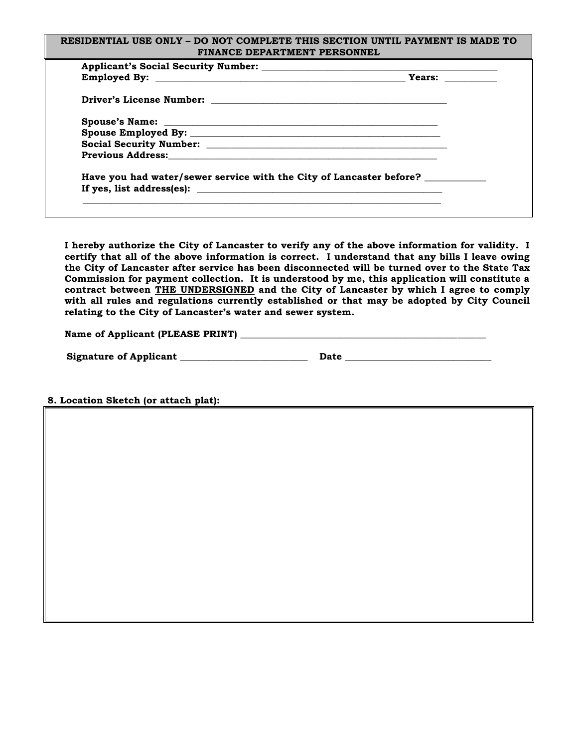| Previous Address: The Contract of The Contract of Terms and Terms and Terms and Terms and Terms and Terms and Terms and Terms and Terms and Terms and Terms and Terms and Terms and Terms and Terms and Terms and Terms and Te |  |
|--------------------------------------------------------------------------------------------------------------------------------------------------------------------------------------------------------------------------------|--|
| Have you had water/sewer service with the City of Lancaster before?                                                                                                                                                            |  |
| If yes, list address(es): $\qquad \qquad$                                                                                                                                                                                      |  |

**I hereby authorize the City of Lancaster to verify any of the above information for validity. I certify that all of the above information is correct. I understand that any bills I leave owing the City of Lancaster after service has been disconnected will be turned over to the State Tax Commission for payment collection. It is understood by me, this application will constitute a contract between THE UNDERSIGNED and the City of Lancaster by which I agree to comply with all rules and regulations currently established or that may be adopted by City Council relating to the City of Lancaster's water and sewer system.**

| Name of Applicant (PLEASE PRINT) |  |
|----------------------------------|--|
|                                  |  |

| <b>Signature of Applicant</b> |  |
|-------------------------------|--|
|-------------------------------|--|

**8. Location Sketch (or attach plat):**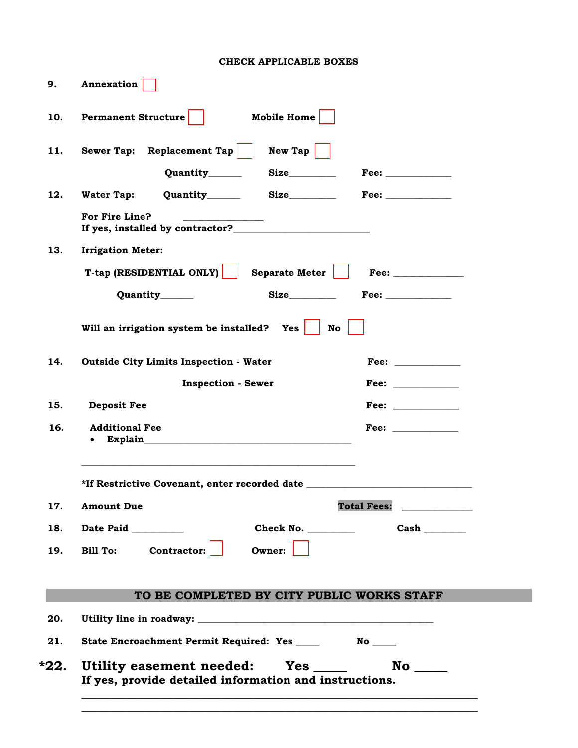## **CHECK APPLICABLE BOXES**

| Annexation                                                                       |                                                                                                                                                                                                                                |  |
|----------------------------------------------------------------------------------|--------------------------------------------------------------------------------------------------------------------------------------------------------------------------------------------------------------------------------|--|
| Mobile Home<br><b>Permanent Structure</b>                                        |                                                                                                                                                                                                                                |  |
| Sewer Tap: Replacement Tap                                                       | $New$ Tap                                                                                                                                                                                                                      |  |
| Quantity________                                                                 |                                                                                                                                                                                                                                |  |
| <b>Water Tap:</b><br>Quantity________                                            |                                                                                                                                                                                                                                |  |
| For Fire Line?                                                                   |                                                                                                                                                                                                                                |  |
| <b>Irrigation Meter:</b>                                                         |                                                                                                                                                                                                                                |  |
| T-tap (RESIDENTIAL ONLY)                                                         | Separate Meter $\vert$                                                                                                                                                                                                         |  |
| Quantity______                                                                   |                                                                                                                                                                                                                                |  |
| Will an irrigation system be installed? Yes $\vert$                              | No                                                                                                                                                                                                                             |  |
| <b>Outside City Limits Inspection - Water</b>                                    |                                                                                                                                                                                                                                |  |
| <b>Inspection - Sewer</b>                                                        |                                                                                                                                                                                                                                |  |
| <b>Deposit Fee</b>                                                               | Fee: and the state of the state of the state of the state of the state of the state of the state of the state of the state of the state of the state of the state of the state of the state of the state of the state of the s |  |
| <b>Additional Fee</b><br>$\bullet$                                               | Fee: $\qquad \qquad$                                                                                                                                                                                                           |  |
| *If Restrictive Covenant, enter recorded date __________________________________ |                                                                                                                                                                                                                                |  |
| <b>Amount Due</b>                                                                | <b>Total Fees:</b>                                                                                                                                                                                                             |  |
| Date Paid _________                                                              | Check No. $\_\_\_\_\_\_\_\_\_\_\$<br>Cash                                                                                                                                                                                      |  |
| Bill To: Contractor:<br>Owner:                                                   |                                                                                                                                                                                                                                |  |
| TO BE COMPLETED BY CITY PUBLIC WORKS STAFF                                       |                                                                                                                                                                                                                                |  |
|                                                                                  |                                                                                                                                                                                                                                |  |
| State Encroachment Permit Required: Yes ____                                     |                                                                                                                                                                                                                                |  |
| Utility easement needed: Yes ____                                                |                                                                                                                                                                                                                                |  |